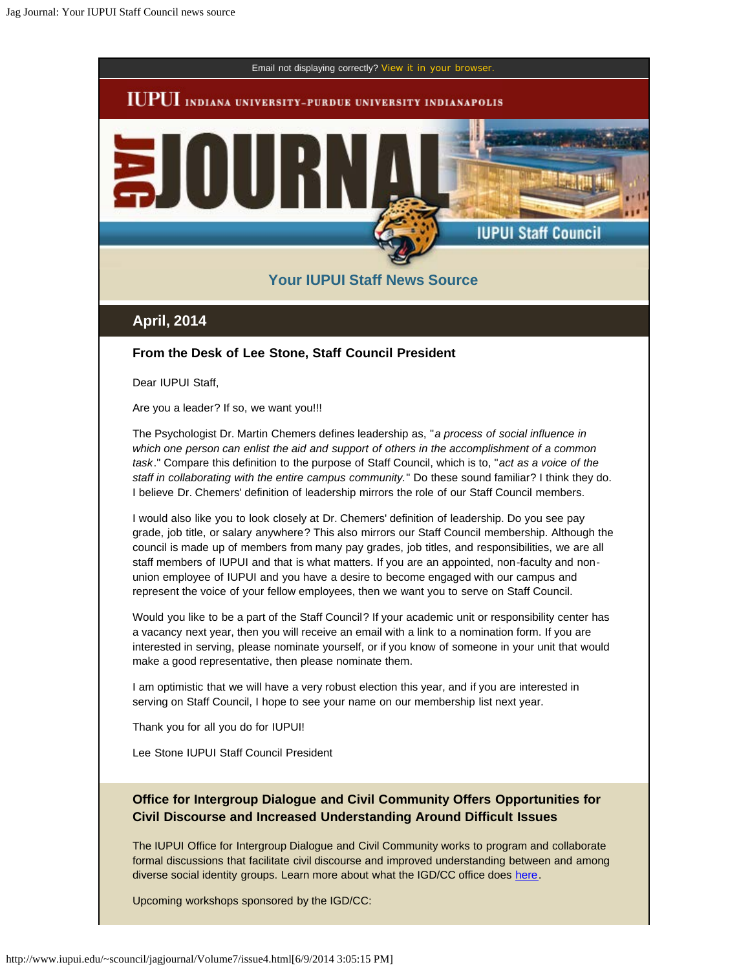<span id="page-0-0"></span>